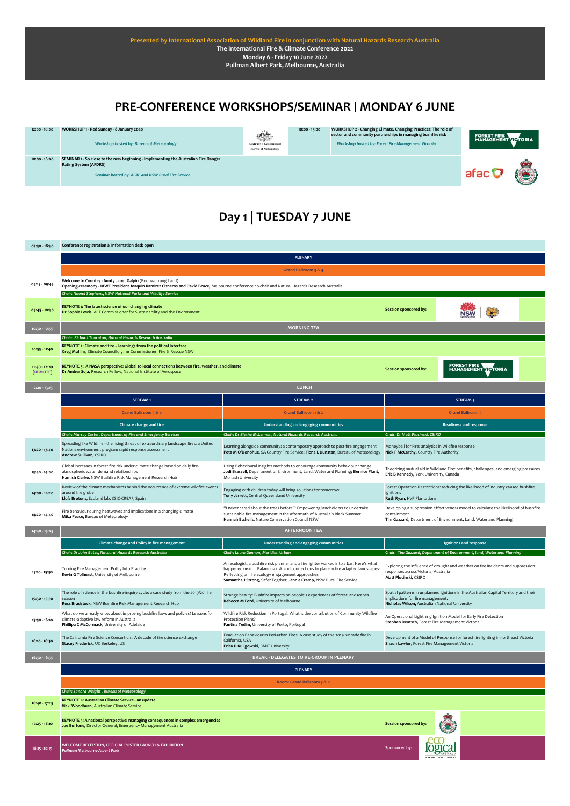#### **PRE-CONFERENCE WORKSHOPS/SEMINAR | MONDAY 6 JUNE**



# **Day 1 | TUESDAY 7 JUNE**

| 07:30 - 18:30             | Conference registration & information desk open                                                                                                                                                                                                                                  |                                                                                                                                                                                                                                                                                                           |                                                                                                                                                                               |  |  |
|---------------------------|----------------------------------------------------------------------------------------------------------------------------------------------------------------------------------------------------------------------------------------------------------------------------------|-----------------------------------------------------------------------------------------------------------------------------------------------------------------------------------------------------------------------------------------------------------------------------------------------------------|-------------------------------------------------------------------------------------------------------------------------------------------------------------------------------|--|--|
|                           | <b>PLENARY</b>                                                                                                                                                                                                                                                                   |                                                                                                                                                                                                                                                                                                           |                                                                                                                                                                               |  |  |
|                           | Grand Ballroom 3 & 4                                                                                                                                                                                                                                                             |                                                                                                                                                                                                                                                                                                           |                                                                                                                                                                               |  |  |
| 09:15 - 09:45             | Welcome to Country - Aunty Janet Galpin (Boonwurrung Land)<br>Opening ceremony - IAWF President Joaquin Ramirez Cisneros and David Bruce, Melbourne conference co-chair and Natural Hazards Research Australia<br>Chair: Naomi Stephens, NSW National Parks and Wildlife Service |                                                                                                                                                                                                                                                                                                           |                                                                                                                                                                               |  |  |
| 09:45 - 10:30             | KEYNOTE 1: The latest science of our changing climate<br>Dr Sophie Lewis, ACT Commissioner for Sustainability and the Environment                                                                                                                                                |                                                                                                                                                                                                                                                                                                           | Session sponsored by:                                                                                                                                                         |  |  |
| 10:30 - 10:55             |                                                                                                                                                                                                                                                                                  | <b>MORNING TEA</b>                                                                                                                                                                                                                                                                                        |                                                                                                                                                                               |  |  |
|                           | Chair: Richard Thornton, Natural Hazards Research Australia                                                                                                                                                                                                                      |                                                                                                                                                                                                                                                                                                           |                                                                                                                                                                               |  |  |
| 10:55 - 11:40             | KEYNOTE 2: Climate and fire - learnings from the political interface<br>Greg Mullins, Climate Councillor, fmr Commissioner, Fire & Rescue NSW                                                                                                                                    |                                                                                                                                                                                                                                                                                                           |                                                                                                                                                                               |  |  |
| 11:40 - 12:20<br>[REMOTE] | KEYNOTE 3 : A NASA perspective: Global to local connections between fire, weather, and climate<br>Dr Amber Soja, Research Fellow, National Institute of Aerospace                                                                                                                |                                                                                                                                                                                                                                                                                                           | FOREST FIRE<br>MANAGEMENT VIOTORIA<br><b>Session sponsored by:</b>                                                                                                            |  |  |
| 12:20 - 13:15             |                                                                                                                                                                                                                                                                                  | <b>LUNCH</b>                                                                                                                                                                                                                                                                                              |                                                                                                                                                                               |  |  |
|                           | STREAM1                                                                                                                                                                                                                                                                          | STREAM 2                                                                                                                                                                                                                                                                                                  | STREAM 3                                                                                                                                                                      |  |  |
|                           | Grand Ballroom 3 & 4                                                                                                                                                                                                                                                             | Grand Ballroom 1 & 2                                                                                                                                                                                                                                                                                      | <b>Grand Ballroom 5</b>                                                                                                                                                       |  |  |
|                           | <b>Climate change and fire</b>                                                                                                                                                                                                                                                   | Understanding and engaging communities                                                                                                                                                                                                                                                                    | <b>Readiness and response</b>                                                                                                                                                 |  |  |
|                           | Chair: Murray Carter, Department of Fire and Emergency Services                                                                                                                                                                                                                  | Chair: Dr Blythe McLennan, Natural Hazards Research Australia                                                                                                                                                                                                                                             | Chair: Dr Matt Plucinski, CSIRO                                                                                                                                               |  |  |
| 13:20 - 13:40             | Spreading like Wildfire - the rising threat of extraordinary landscape fires: a United<br>Nations environment program rapid response assessment<br>Andrew Sullivan, CSIRO                                                                                                        | Learning alongside community: a contemporary approach to post-fire engagement<br>Peta M O'Donohue, SA Country Fire Service; Fiona L Dunstan, Bureau of Meteorology                                                                                                                                        | Moneyball for Fire: analytics in Wildfire response<br>Nick F McCarthy, Country Fire Authority                                                                                 |  |  |
| 13:40 - 14:00             | Global increases in forest fire risk under climate change based on daily fire-<br>atmospheric water demand relationships<br>Hamish Clarke, NSW Bushfire Risk Management Research Hub                                                                                             | Using Behavioural Insights methods to encourage community behaviour change<br>Jodi Braszell, Department of Environment, Land, Water and Planning; Bernice Plant,<br>Monash University                                                                                                                     | Theorizing mutual aid in Wildland Fire: benefits, challenges, and emerging pressures<br>Eric B Kennedy, York University, Canada                                               |  |  |
| 14:00 - 14:20             | Review of the climate mechanisms behind the occurrence of extreme wildfire events<br>around the globe<br>Lluís Brotons, Ecoland lab, CSIC-CREAF, Spain                                                                                                                           | Engaging with children today will bring solutions for tomorrow<br>Tony Jarrett, Central Queensland University                                                                                                                                                                                             | Forest Operation Restrictions: reducing the likelihood of industry caused bushfire<br>ignitions<br>Ruth Ryan, HVP Plantations                                                 |  |  |
| 14:20 - 14:40             | Fire behaviour during heatwaves and implications in a changing climate<br>Mika Peace, Bureau of Meteorology                                                                                                                                                                      | "I never cared about the trees before": Empowering landholders to undertake<br>sustainable fire management in the aftermath of Australia's Black Summer<br>Hannah Etchells, Nature Conservation Council NSW                                                                                               | Developing a suppression effectiveness model to calculate the likelihood of bushfire<br>containment<br>Tim Gazzard, Department of Environment, Land, Water and Planning       |  |  |
| 14:40 - 15:05             |                                                                                                                                                                                                                                                                                  | <b>AFTERNOON TEA</b>                                                                                                                                                                                                                                                                                      |                                                                                                                                                                               |  |  |
|                           | Climate change and Policy in fire management                                                                                                                                                                                                                                     | Understanding and engaging communities                                                                                                                                                                                                                                                                    | Ignitions and response                                                                                                                                                        |  |  |
|                           | Chair: Dr John Bates, Natuural Hazards Research Australia                                                                                                                                                                                                                        | Chair: Laura Gannon, Meridian Urban                                                                                                                                                                                                                                                                       | Chair: Tim Gazzard, Department of Environment, land, Water and Planning                                                                                                       |  |  |
| 15:10 - 15:30             | Turning Fire Management Policy Into Practice<br>Kevin G Tolhurst, University of Melbourne                                                                                                                                                                                        | An ecologist, a bushfire risk planner and a firefighter walked into a bar. Here's what<br>happened next Balancing risk and connections to place in fire adapted landscapes:<br>Reflecting on fire ecology engagement approaches<br>Samantha J Strong, Safer Togther; Jennie Cramp, NSW Rural Fire Service | Exploring the influence of drought and weather on fire incidents and suppression<br>responses across Victoria, Australia<br>Matt Plucinski, CSIRO                             |  |  |
| 15:30 - 15:50             | The role of science in the bushfire-inquiry cycle: a case study from the 2019/20 fire<br>season<br>Ross Bradstock, NSW Bushfire Risk Management Research Hub                                                                                                                     | Strange beauty: Bushfire impacts on people's experiences of forest landscapes<br>Rebecca M Ford, University of Melbourne                                                                                                                                                                                  | Spatial patterns in unplanned ignitions in the Australian Capital Territory and their<br>implications for fire management.<br>Nicholas Wilson, Australian National University |  |  |
| 15:50 - 16:10             | What do we already know about improving bushfire laws and policies? Lessons for<br>climate-adaptive law reform in Australia<br>Phillipa C McCormack, University of Adelaide                                                                                                      | Wildfire Risk Reduction in Portugal: What is the contribution of Community Wildfire<br>Protection Plans?<br>Fantina Tedim, University of Porto, Portugal                                                                                                                                                  | An Operational Lightning Ignition Model for Early Fire Detection<br>Stephen Deutsch, Forest Fire Management Victoria                                                          |  |  |
| 16:10 - 16:30             | The California Fire Science Consortium: A decade of fire science exchange<br>Stacey Frederick, UC Berkeley, US                                                                                                                                                                   | Evacuation Behaviour in Peri-urban Fires: A case study of the 2019 Kincade fire in<br>California, USA<br>Erica D Kuligowski, RMIT University                                                                                                                                                              | Development of a Model of Response for forest firefighting in northeast Victoria<br>Shaun Lawlor, Forest Fire Management Victoria                                             |  |  |
| $16:30 - 16:35$           |                                                                                                                                                                                                                                                                                  | <b>BREAK - DELEGATES TO RE-GROUP IN PLENARY</b>                                                                                                                                                                                                                                                           |                                                                                                                                                                               |  |  |
|                           |                                                                                                                                                                                                                                                                                  | PLENARY                                                                                                                                                                                                                                                                                                   |                                                                                                                                                                               |  |  |
|                           |                                                                                                                                                                                                                                                                                  | Room: Grand Ballroom 3 & 4                                                                                                                                                                                                                                                                                |                                                                                                                                                                               |  |  |
|                           | Chair: Sandra Whight, Bureau of Meteorology                                                                                                                                                                                                                                      |                                                                                                                                                                                                                                                                                                           |                                                                                                                                                                               |  |  |
| 16:40 - 17:25             | KEYNOTE 4: Australian Climate Service - an update<br>Vicki Woodburn, Australian Climate Service                                                                                                                                                                                  |                                                                                                                                                                                                                                                                                                           |                                                                                                                                                                               |  |  |
| 17:25 - 18:10             | KEYNOTE 5: A national perspective: managing consequences in complex emergencies<br>Joe Buffone, Director-General, Emergency Management Australia                                                                                                                                 |                                                                                                                                                                                                                                                                                                           | Session sponsored by:                                                                                                                                                         |  |  |
| 18:15 - 20:15             | WELCOME RECEPTION, OFFICIAL POSTER LAUNCH & EXHIBITION<br><b>Pullman Melbourne Albert Park</b>                                                                                                                                                                                   |                                                                                                                                                                                                                                                                                                           | Sponsored by:                                                                                                                                                                 |  |  |
|                           |                                                                                                                                                                                                                                                                                  |                                                                                                                                                                                                                                                                                                           |                                                                                                                                                                               |  |  |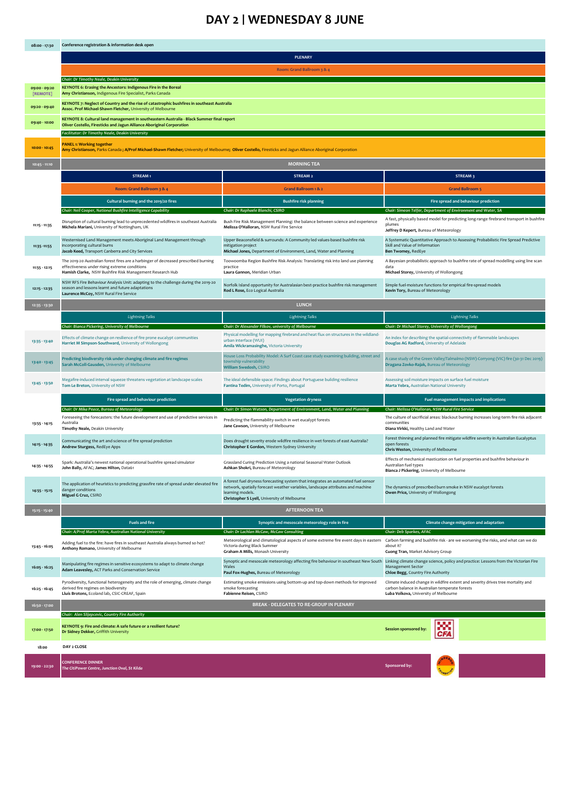### **DAY 2 | WEDNESDAY 8 JUNE**

| 08:00 - 17:30             | Conference registration & information desk open                                                                                                                                                                        |                                                                                                                                                                                                                                          |                                                                                                                                                                             |  |  |
|---------------------------|------------------------------------------------------------------------------------------------------------------------------------------------------------------------------------------------------------------------|------------------------------------------------------------------------------------------------------------------------------------------------------------------------------------------------------------------------------------------|-----------------------------------------------------------------------------------------------------------------------------------------------------------------------------|--|--|
|                           | <b>PLENARY</b>                                                                                                                                                                                                         |                                                                                                                                                                                                                                          |                                                                                                                                                                             |  |  |
|                           | Room: Grand Ballroom 3 & 4                                                                                                                                                                                             |                                                                                                                                                                                                                                          |                                                                                                                                                                             |  |  |
|                           | Chair: Dr Timothy Neale, Deakin University                                                                                                                                                                             |                                                                                                                                                                                                                                          |                                                                                                                                                                             |  |  |
| 09:00 - 09:20<br>[REMOTE] | KEYNOTE 6: Erasing the Ancestors: Indigenous Fire in the Boreal<br>Amy Christianson, Indigenous Fire Specialist, Parks Canada                                                                                          |                                                                                                                                                                                                                                          |                                                                                                                                                                             |  |  |
| 09:20 - 09:40             | KEYNOTE 7: Neglect of Country and the rise of catastrophic bushfires in southeast Australia<br>Assoc. Prof Michael-Shawn Fletcher, University of Melbourne                                                             |                                                                                                                                                                                                                                          |                                                                                                                                                                             |  |  |
| 09:40 - 10:00             | KEYNOTE 8: Cultural land management in southeastern Australia - Black Summer final report<br>Oliver Costello, Firesticks and Jagun Alliance Aboriginal Corporation<br>Facilitator: Dr Timothy Neale, Deakin University |                                                                                                                                                                                                                                          |                                                                                                                                                                             |  |  |
| $10:00 - 10:45$           | <b>PANEL 1: Working together</b><br>Amy Christianson, Parks Canada; A/Prof Michael-Shawn Fletcher; University of Melbourne; Oliver Costello, Firesticks and Jagun Alliance Aboriginal Corporation                      |                                                                                                                                                                                                                                          |                                                                                                                                                                             |  |  |
| $10:45 - 11:10$           | <b>MORNING TEA</b>                                                                                                                                                                                                     |                                                                                                                                                                                                                                          |                                                                                                                                                                             |  |  |
|                           | STREAM1                                                                                                                                                                                                                | STREAM <sub>2</sub>                                                                                                                                                                                                                      | STREAM 3                                                                                                                                                                    |  |  |
|                           | Room: Grand Ballroom 3 & 4                                                                                                                                                                                             | <b>Grand Ballroom 1 &amp; 2</b>                                                                                                                                                                                                          | <b>Grand Ballroom 5</b>                                                                                                                                                     |  |  |
|                           | Cultural burning and the 2019/20 fires                                                                                                                                                                                 | <b>Bushfire risk planning</b>                                                                                                                                                                                                            | Fire spread and behaviour prediction                                                                                                                                        |  |  |
|                           | Chair: Neil Cooper, National Bushfire Intelligence Capability                                                                                                                                                          | Chair: Dr Raphaele Blanchi, CSIRO                                                                                                                                                                                                        | Chair: Simeon Telfer, Department of Environment and Water, SA                                                                                                               |  |  |
| $11:15 - 11:35$           | Disruption of cultural burning lead to unprecedented wildfires in southeast Australia<br>Michela Mariani, University of Nottingham, UK                                                                                 | Bush Fire Risk Management Planning: the balance between science and experience<br>Melissa O'Halloran, NSW Rural Fire Service                                                                                                             | A fast, physically based model for predicting long-range firebrand transport in bushfire<br>plumes<br>Jeffrey D Kepert, Bureau of Meteorology                               |  |  |
| 11:35 - 11:55             | Westernised Land Management meets Aboriginal Land Management through<br>incorporating cultural burns<br>Jacob Keed, Transport Canberra and City Services                                                               | Upper Beaconsfield & surrounds: A Community led values-based bushfire risk<br>mitigation project<br>Michael Jones, Department of Environment, Land, Water and Planning                                                                   | A Systematic Quantitative Approach to Assessing Probabilistic Fire Spread Predictive<br>Skill and Value of Information<br>Ben Twomey, RedEye                                |  |  |
| 11:55 - 12:15             | The 2019-20 Australian forest fires are a harbinger of decreased prescribed burning<br>effectiveness under rising extreme conditions<br>Hamish Clarke, NSW Bushfire Risk Management Research Hub                       | Toowoomba Region Bushfire Risk Analysis: Translating risk into land use planning<br>practice<br>Laura Gannon, Meridian Urban                                                                                                             | A Bayesian probabilistic approach to bushfire rate of spread modelling using line scan<br>data<br>Michael Storey, University of Wollongong                                  |  |  |
| $12:15 - 12:35$           | NSW RFS Fire Behaviour Analysis Unit: adapting to the challenge during the 2019-20<br>season and lessons learnt and future adaptations<br>Laurence McCoy, NSW Rural Fire Service                                       | Norfolk Island opportunity for Australasian best-practice bushfire risk management<br>Rod L Rose, Eco Logical Australia                                                                                                                  | Simple fuel-moisture functions for empirical fire-spread models<br>Kevin Tory, Bureau of Meteorology                                                                        |  |  |
| 12:35 - 13:30             |                                                                                                                                                                                                                        | <b>LUNCH</b>                                                                                                                                                                                                                             |                                                                                                                                                                             |  |  |
|                           | <b>Lightning Talks</b>                                                                                                                                                                                                 | <b>Lightning Talks</b>                                                                                                                                                                                                                   | <b>Lightning Talks</b>                                                                                                                                                      |  |  |
| 13:35 - 13:40             | Chair: Bianca Pickering, University of Melbourn<br>Effects of climate change on resilience of fire prone eucalypt communities<br>Harriet M Simpson-Southward, University of Wollongong                                 | Chair: Dr Alexander Filkov, university of Melbourne<br>Physical modelling for mapping firebrand and heat flux on structures in the wildland-<br>urban interface (WUI)<br>Amila Wickramasinghe, Victoria University                       | Chair: Dr Michael Storey, University of Wollongon<br>An index for describing the spatial-connectivity of flammable landscapes<br>Douglas AG Radford, University of Adelaide |  |  |
| 13:40 - 13:45             | Predicting biodiversity risk under changing climate and fire regimes<br>Sarah McColl-Gausden, University of Melbourne                                                                                                  | House Loss Probability Model: A Surf Coast case study examining building, street and<br>township vulnerability<br>William Swedosh, CSIRO                                                                                                 | A case study of the Green Valley/Talmalmo (NSW) Corryong (VIC) fire (30-31 Dec 2019)<br>Dragana Zovko-Rajak, Bureau of Meteorology                                          |  |  |
| 13:45 - 13:50             | Megafire-induced interval squeeze threatens vegetation at landscape scales<br>Tom Le Breton, University of NSW                                                                                                         | The ideal defensible space: Findings about Portuguese building resilience<br>Fantina Tedim, University of Porto, Portugal                                                                                                                | Assessing soil moisture impacts on surface fuel moisture<br>Marta Yebra, Australian National University                                                                     |  |  |
|                           | Fire spread and behaviour prediction                                                                                                                                                                                   | <b>Vegetation dryness</b>                                                                                                                                                                                                                | Fuel management impacts and implications                                                                                                                                    |  |  |
|                           | Chair: Dr Mika Peace, Bureau of Meteorology<br>Foreseeing the forecasters: the future development and use of predictive services in                                                                                    | Chair: Dr Simon Watson, Department of Environment, Land, Water and Planning                                                                                                                                                              | Chair: Melissa O'Halloran, NSW Rural Fire Service<br>The culture of sacrificial areas: blackout burning increases long-term fire risk adjacent                              |  |  |
| 13:55 - 14:15             | Australia<br>Timothy Neale, Deakin University                                                                                                                                                                          | Predicting the flammability-switch in wet eucalypt forests<br>Jane Cawson, University of Melbourne                                                                                                                                       | communities<br>Diana Virkki, Healthy Land and Water                                                                                                                         |  |  |
| 14:15 - 14:35             | Communicating the art and science of fire spread prediction<br>Andrew Sturgess, RedEye Apps                                                                                                                            | Does drought severity erode wildfire resilience in wet forests of east Australia?<br>Christopher E Gordon, Western Sydney University                                                                                                     | Forest thinning and planned fire mitigate wildfire severity in Australian Eucalyptus<br>open forests<br>Chris Weston, University of Melbourne                               |  |  |
| 14:35 - 14:55             | Spark: Australia's newest national operational bushfire spread simulator<br>John Bally, AFAC; James Hilton, Data61                                                                                                     | Grassland Curing Prediction Using a national Seasonal Water Outlook<br>Ashkan Shokri, Bureau of Meteorology                                                                                                                              | Effects of mechanical mastication on fuel properties and bushfire behaviour in<br>Australian fuel types<br>Bianca J Pickering, University of Melbourne                      |  |  |
| 14:55 - 15:15             | The application of heuristics to predicting grassfire rate of spread under elevated fire<br>danger conditions<br>Miguel G Cruz, CSIRO                                                                                  | A forest fuel dryness forecasting system that integrates an automated fuel sensor<br>network, spatially forecast weather variables, landscape attributes and machine<br>learning models.<br>Christopher S Lyell, University of Melbourne | The dynamics of prescribed burn smoke in NSW eucalypt forests<br>Owen Price, University of Wollongong                                                                       |  |  |
| 15:15 - 15:40             |                                                                                                                                                                                                                        | <b>AFTERNOON TEA</b>                                                                                                                                                                                                                     |                                                                                                                                                                             |  |  |
|                           | <b>Fuels and fire</b>                                                                                                                                                                                                  | Synoptic and mesoscale meteorology role in fire                                                                                                                                                                                          | Climate change mitigation and adaptation                                                                                                                                    |  |  |
|                           | Chair: A/Prof Marta Yebra, Australian National University                                                                                                                                                              | Chair: Dr Lachlan McCaw, McCaw Consulting                                                                                                                                                                                                | Chair: Deb Sparkes, AFAC                                                                                                                                                    |  |  |
| 15:45 - 16:05             | Adding fuel to the fire: have fires in southeast Australia always burned so hot?<br>Anthony Romano, University of Melbourne                                                                                            | Meteorological and climatological aspects of some extreme fire event days in eastern<br>Victoria during Black Summer<br>Graham A Mills, Monash University                                                                                | Carbon farming and bushfire risk - are we worsening the risks, and what can we do<br>about it?<br>Cuong Tran, Market Advisory Group                                         |  |  |
| 16:05 - 16:25             | Manipulating fire regimes in sensitive ecosystems to adapt to climate change<br>Adam Leavesley, ACT Parks and Conservation Service                                                                                     | Synoptic and mesoscale meteorology affecting fire behaviour in southeast New South<br>Wales<br>Paul Fox-Hughes, Bureau of Meteorology                                                                                                    | Linking climate change science, policy and practice: Lessons from the Victorian Fire<br><b>Management Sector</b><br>Chloe Begg, Country Fire Authority                      |  |  |
| $16:25 - 16:45$           | Pyrodiversity, functional heterogeneity and the role of emerging, climate change<br>derived fire regimes on biodiversity<br>Lluís Brotons, Ecoland lab, CSIC-CREAF, Spain                                              | Estimating smoke emissions using bottom-up and top-down methods for improved<br>smoke forecasting<br>Fabienne Reisen, CSIRO                                                                                                              | Climate induced change in wildfire extent and severity drives tree mortality and<br>carbon balance in Australian temperate forests<br>Luba Volkova, University of Melbourne |  |  |
| 16:50 - 17:00             |                                                                                                                                                                                                                        | BREAK - DELEGATES TO RE-GROUP IN PLENARY                                                                                                                                                                                                 |                                                                                                                                                                             |  |  |
|                           | Chair: Alen Slijepcevic, Country Fire Authority                                                                                                                                                                        |                                                                                                                                                                                                                                          |                                                                                                                                                                             |  |  |
| 17:00 - 17:50             | KEYNOTE 9: Fire and climate: A safe future or a resilient future?<br>Dr Sidney Dekker, Griffith University                                                                                                             |                                                                                                                                                                                                                                          | Session sponsored by:                                                                                                                                                       |  |  |
| 18:00                     | DAY 2 CLOSE                                                                                                                                                                                                            |                                                                                                                                                                                                                                          |                                                                                                                                                                             |  |  |
| 19:00 - 22:30             | <b>CONFERENCE DINNER</b><br>The CitiPower Centre, Junction Oval, St Kilda                                                                                                                                              |                                                                                                                                                                                                                                          | Sponsored by:                                                                                                                                                               |  |  |